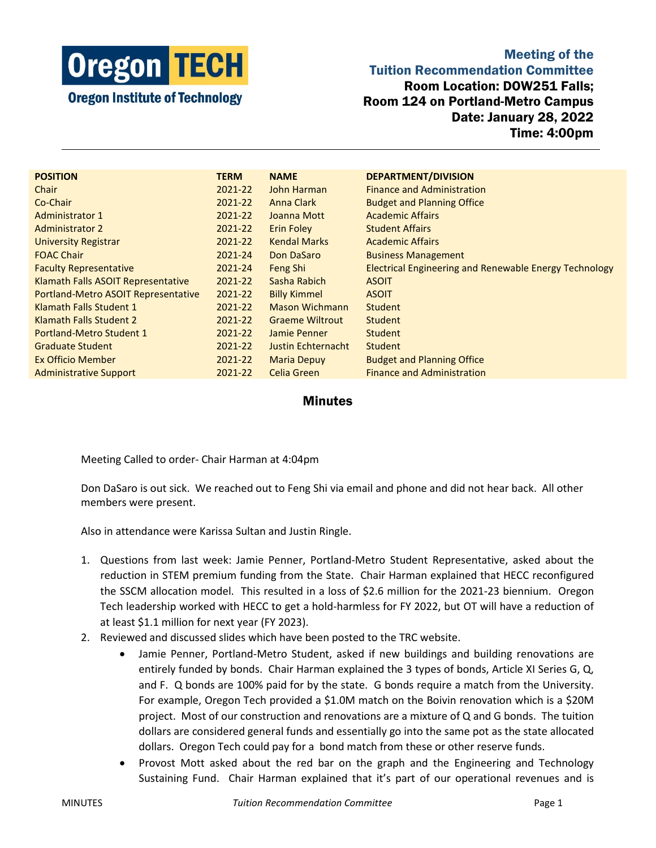

Meeting of the Tuition Recommendation Committee Room Location: DOW251 Falls; Room 124 on Portland-Metro Campus Date: January 28, 2022 Time: 4:00pm

| <b>POSITION</b>                     | <b>TERM</b> | <b>NAME</b>            | <b>DEPARTMENT/DIVISION</b>                                    |
|-------------------------------------|-------------|------------------------|---------------------------------------------------------------|
| Chair                               | 2021-22     | John Harman            | <b>Finance and Administration</b>                             |
| Co-Chair                            | 2021-22     | Anna Clark             | <b>Budget and Planning Office</b>                             |
| <b>Administrator 1</b>              | 2021-22     | Joanna Mott            | <b>Academic Affairs</b>                                       |
| <b>Administrator 2</b>              | 2021-22     | <b>Erin Foley</b>      | <b>Student Affairs</b>                                        |
| <b>University Registrar</b>         | 2021-22     | <b>Kendal Marks</b>    | <b>Academic Affairs</b>                                       |
| <b>FOAC Chair</b>                   | 2021-24     | Don DaSaro             | <b>Business Management</b>                                    |
| <b>Faculty Representative</b>       | 2021-24     | Feng Shi               | <b>Electrical Engineering and Renewable Energy Technology</b> |
| Klamath Falls ASOIT Representative  | 2021-22     | Sasha Rabich           | <b>ASOIT</b>                                                  |
| Portland-Metro ASOIT Representative | 2021-22     | <b>Billy Kimmel</b>    | <b>ASOIT</b>                                                  |
| Klamath Falls Student 1             | 2021-22     | <b>Mason Wichmann</b>  | Student                                                       |
| Klamath Falls Student 2             | 2021-22     | <b>Graeme Wiltrout</b> | Student                                                       |
| Portland-Metro Student 1            | 2021-22     | Jamie Penner           | <b>Student</b>                                                |
| <b>Graduate Student</b>             | 2021-22     | Justin Echternacht     | Student                                                       |
| Ex Officio Member                   | 2021-22     | <b>Maria Depuy</b>     | <b>Budget and Planning Office</b>                             |
| <b>Administrative Support</b>       | 2021-22     | Celia Green            | <b>Finance and Administration</b>                             |

## **Minutes**

Meeting Called to order- Chair Harman at 4:04pm

Don DaSaro is out sick. We reached out to Feng Shi via email and phone and did not hear back. All other members were present.

Also in attendance were Karissa Sultan and Justin Ringle.

- 1. Questions from last week: Jamie Penner, Portland-Metro Student Representative, asked about the reduction in STEM premium funding from the State. Chair Harman explained that HECC reconfigured the SSCM allocation model. This resulted in a loss of \$2.6 million for the 2021-23 biennium. Oregon Tech leadership worked with HECC to get a hold-harmless for FY 2022, but OT will have a reduction of at least \$1.1 million for next year (FY 2023).
- 2. Reviewed and discussed slides which have been posted to the TRC website.
	- Jamie Penner, Portland-Metro Student, asked if new buildings and building renovations are entirely funded by bonds. Chair Harman explained the 3 types of bonds, Article XI Series G, Q, and F. Q bonds are 100% paid for by the state. G bonds require a match from the University. For example, Oregon Tech provided a \$1.0M match on the Boivin renovation which is a \$20M project. Most of our construction and renovations are a mixture of Q and G bonds. The tuition dollars are considered general funds and essentially go into the same pot as the state allocated dollars. Oregon Tech could pay for a bond match from these or other reserve funds.
	- Provost Mott asked about the red bar on the graph and the Engineering and Technology Sustaining Fund. Chair Harman explained that it's part of our operational revenues and is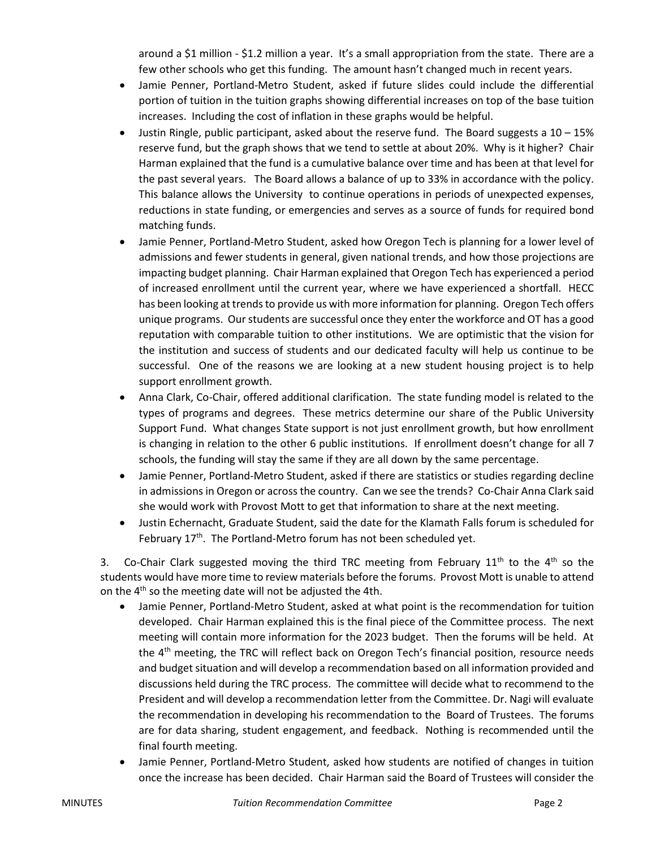around a \$1 million - \$1.2 million a year. It's a small appropriation from the state. There are a few other schools who get this funding. The amount hasn't changed much in recent years.

- Jamie Penner, Portland-Metro Student, asked if future slides could include the differential portion of tuition in the tuition graphs showing differential increases on top of the base tuition increases. Including the cost of inflation in these graphs would be helpful.
- Justin Ringle, public participant, asked about the reserve fund. The Board suggests a  $10-15%$ reserve fund, but the graph shows that we tend to settle at about 20%. Why is it higher? Chair Harman explained that the fund is a cumulative balance over time and has been at that level for the past several years. The Board allows a balance of up to 33% in accordance with the policy. This balance allows the University to continue operations in periods of unexpected expenses, reductions in state funding, or emergencies and serves as a source of funds for required bond matching funds.
- Jamie Penner, Portland-Metro Student, asked how Oregon Tech is planning for a lower level of admissions and fewer students in general, given national trends, and how those projections are impacting budget planning. Chair Harman explained that Oregon Tech has experienced a period of increased enrollment until the current year, where we have experienced a shortfall. HECC has been looking at trends to provide us with more information for planning. Oregon Tech offers unique programs. Our students are successful once they enter the workforce and OT has a good reputation with comparable tuition to other institutions. We are optimistic that the vision for the institution and success of students and our dedicated faculty will help us continue to be successful. One of the reasons we are looking at a new student housing project is to help support enrollment growth.
- Anna Clark, Co-Chair, offered additional clarification. The state funding model is related to the types of programs and degrees. These metrics determine our share of the Public University Support Fund. What changes State support is not just enrollment growth, but how enrollment is changing in relation to the other 6 public institutions. If enrollment doesn't change for all 7 schools, the funding will stay the same if they are all down by the same percentage.
- Jamie Penner, Portland-Metro Student, asked if there are statistics or studies regarding decline in admissions in Oregon or across the country. Can we see the trends? Co-Chair Anna Clark said she would work with Provost Mott to get that information to share at the next meeting.
- Justin Echernacht, Graduate Student, said the date for the Klamath Falls forum is scheduled for February 17<sup>th</sup>. The Portland-Metro forum has not been scheduled yet.

3. Co-Chair Clark suggested moving the third TRC meeting from February 11<sup>th</sup> to the 4<sup>th</sup> so the students would have more time to review materials before the forums. Provost Mott is unable to attend on the  $4<sup>th</sup>$  so the meeting date will not be adjusted the 4th.

- Jamie Penner, Portland-Metro Student, asked at what point is the recommendation for tuition developed. Chair Harman explained this is the final piece of the Committee process. The next meeting will contain more information for the 2023 budget. Then the forums will be held. At the 4<sup>th</sup> meeting, the TRC will reflect back on Oregon Tech's financial position, resource needs and budget situation and will develop a recommendation based on all information provided and discussions held during the TRC process. The committee will decide what to recommend to the President and will develop a recommendation letter from the Committee. Dr. Nagi will evaluate the recommendation in developing his recommendation to the Board of Trustees. The forums are for data sharing, student engagement, and feedback. Nothing is recommended until the final fourth meeting.
- Jamie Penner, Portland-Metro Student, asked how students are notified of changes in tuition once the increase has been decided. Chair Harman said the Board of Trustees will consider the